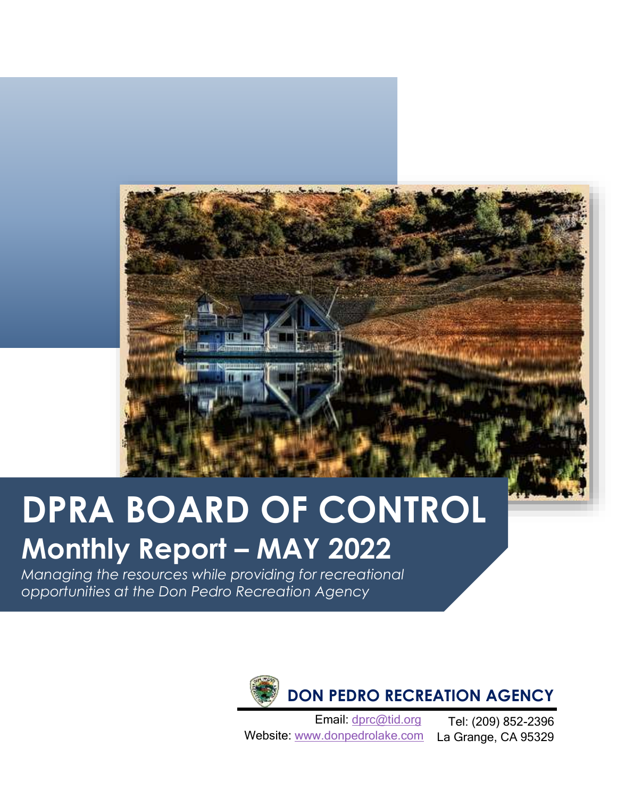# **DPRA BOARD OF CONTROL Monthly Report – MAY 2022**

*Managing the resources while providing for recreational opportunities at the Don Pedro Recreation Agency*



Email: [dprc@tid.org](mailto:dprc@tid.org) Website: [www.donpedrolake.com](http://www.donpedrolake.com/) La Grange, CA 95329 Tel: (209) 852-2396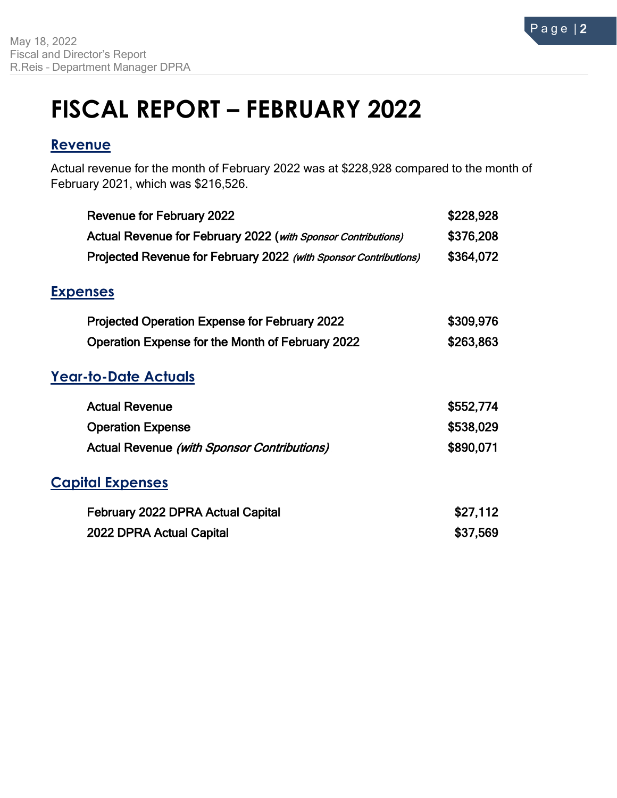## **FISCAL REPORT – FEBRUARY 2022**

#### **Revenue**

Actual revenue for the month of February 2022 was at \$228,928 compared to the month of February 2021, which was \$216,526.

| <b>Revenue for February 2022</b>                                 | \$228,928 |
|------------------------------------------------------------------|-----------|
| Actual Revenue for February 2022 (with Sponsor Contributions)    | \$376,208 |
| Projected Revenue for February 2022 (with Sponsor Contributions) | \$364,072 |
| <b>Expenses</b>                                                  |           |
|                                                                  |           |
| <b>Projected Operation Expense for February 2022</b>             | \$309,976 |
| Operation Expense for the Month of February 2022                 | \$263,863 |
| <b>Year-to-Date Actuals</b>                                      |           |
| <b>Actual Revenue</b>                                            | \$552,774 |
| <b>Operation Expense</b>                                         | \$538,029 |
| Actual Revenue (with Sponsor Contributions)                      | \$890,071 |
| <b>Capital Expenses</b>                                          |           |
| <b>February 2022 DPRA Actual Capital</b>                         | \$27,112  |
| 2022 DPRA Actual Capital                                         | \$37,569  |
|                                                                  |           |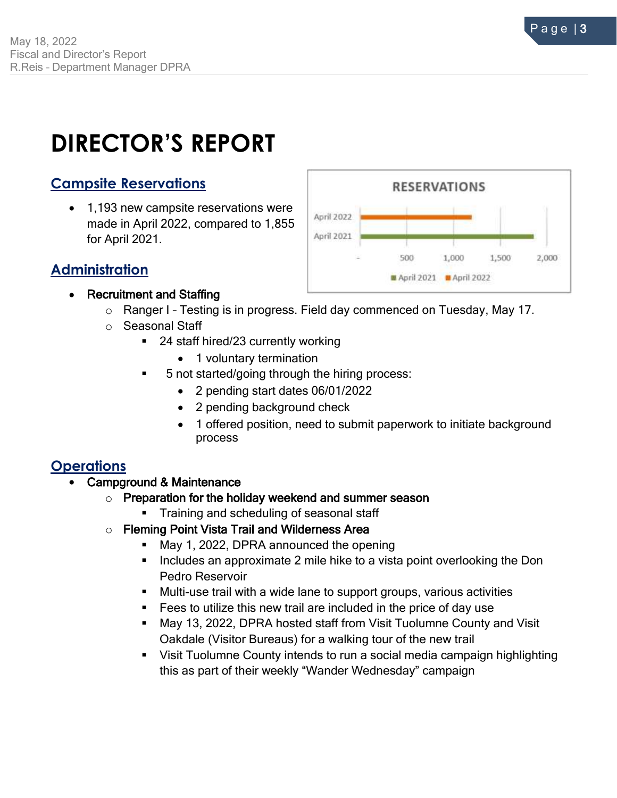## **DIRECTOR'S REPORT**

### **Campsite Reservations**

• 1,193 new campsite reservations were made in April 2022, compared to 1,855 for April 2021.

#### **RESERVATIONS** April 2022 April 2021 500 1,000 1,500 2,000 **M** April 2021 **M** April 2022

#### **Administration**

- Recruitment and Staffing
	- o Ranger I Testing is in progress. Field day commenced on Tuesday, May 17.
	- o Seasonal Staff
		- 24 staff hired/23 currently working
			- 1 voluntary termination
		- 5 not started/going through the hiring process:
			- 2 pending start dates 06/01/2022
			- 2 pending background check
			- 1 offered position, need to submit paperwork to initiate background process

#### **Operations**

- Campground & Maintenance
	- Preparation for the holiday weekend and summer season
		- **Training and scheduling of seasonal staff**
	- o Fleming Point Vista Trail and Wilderness Area
		- May 1, 2022, DPRA announced the opening
		- **IF Includes an approximate 2 mile hike to a vista point overlooking the Don** Pedro Reservoir
		- Multi-use trail with a wide lane to support groups, various activities
		- **Fees to utilize this new trail are included in the price of day use**
		- May 13, 2022, DPRA hosted staff from Visit Tuolumne County and Visit Oakdale (Visitor Bureaus) for a walking tour of the new trail
		- Visit Tuolumne County intends to run a social media campaign highlighting this as part of their weekly "Wander Wednesday" campaign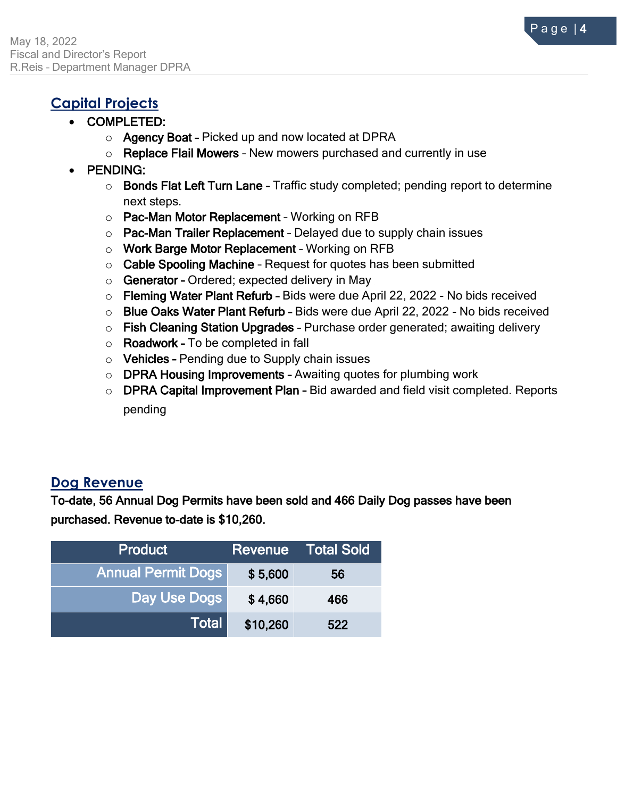### **Capital Projects**

- COMPLETED:
	- o Agency Boat Picked up and now located at DPRA
	- $\circ$  Replace Flail Mowers New mowers purchased and currently in use
- PENDING:
	- $\circ$  Bonds Flat Left Turn Lane Traffic study completed; pending report to determine next steps.
	- o Pac-Man Motor Replacement Working on RFB
	- $\circ$  Pac-Man Trailer Replacement Delayed due to supply chain issues
	- o Work Barge Motor Replacement Working on RFB
	- $\circ$  Cable Spooling Machine Request for quotes has been submitted
	- o Generator Ordered; expected delivery in May
	- o Fleming Water Plant Refurb Bids were due April 22, 2022 No bids received
	- o Blue Oaks Water Plant Refurb Bids were due April 22, 2022 No bids received
	- o Fish Cleaning Station Upgrades Purchase order generated; awaiting delivery
	- $\circ$  Roadwork To be completed in fall
	- $\circ$  Vehicles Pending due to Supply chain issues
	- $\circ$  DPRA Housing Improvements Awaiting quotes for plumbing work
	- o DPRA Capital Improvement Plan Bid awarded and field visit completed. Reports pending

#### **Dog Revenue**

To-date, 56 Annual Dog Permits have been sold and 466 Daily Dog passes have been purchased. Revenue to-date is \$10,260.

| <b>Product</b>            | Revenue  | <b>Total Sold</b> |
|---------------------------|----------|-------------------|
| <b>Annual Permit Dogs</b> | \$5,600  | 56                |
| Day Use Dogs              | \$4,660  | 466               |
| <b>Total</b>              | \$10,260 | 522               |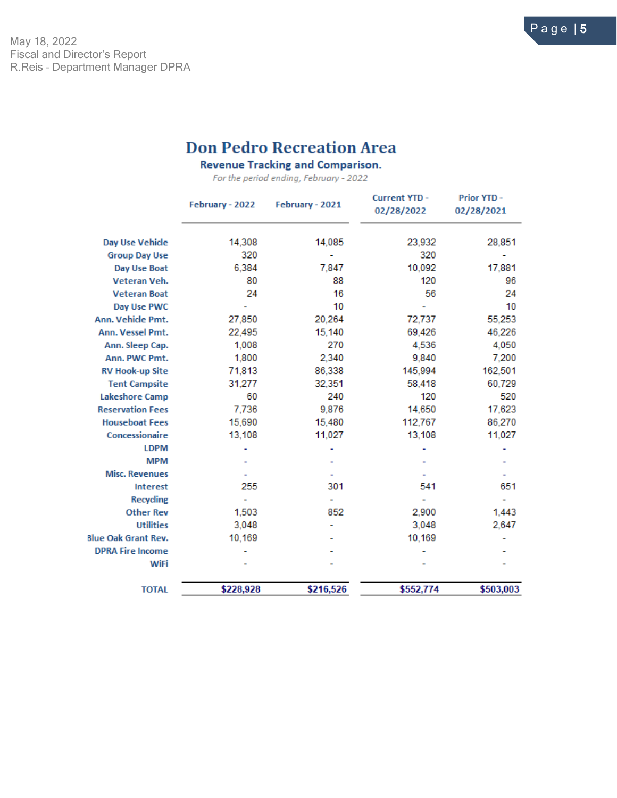#### Page | 5

## **Don Pedro Recreation Area**

**Revenue Tracking and Comparison.** 

For the period ending, February - 2022

|                            | February - 2022 | February - 2021 | <b>Current YTD -</b><br>02/28/2022 | <b>Prior YTD -</b><br>02/28/2021 |
|----------------------------|-----------------|-----------------|------------------------------------|----------------------------------|
| Day Use Vehicle            | 14,308          | 14,085          | 23,932                             | 28,851                           |
| <b>Group Day Use</b>       | 320             |                 | 320                                |                                  |
| Day Use Boat               | 6,384           | 7,847           | 10,092                             | 17,881                           |
| Veteran Veh.               | 80              | 88              | 120                                | 96                               |
| <b>Veteran Boat</b>        | 24              | 16              | 56                                 | 24                               |
| Day Use PWC                |                 | 10              |                                    | 10                               |
| Ann. Vehicle Pmt.          | 27,850          | 20,264          | 72,737                             | 55,253                           |
| Ann. Vessel Pmt.           | 22,495          | 15,140          | 69,426                             | 46,226                           |
| Ann. Sleep Cap.            | 1,008           | 270             | 4,536                              | 4,050                            |
| Ann. PWC Pmt.              | 1,800           | 2,340           | 9,840                              | 7,200                            |
| <b>RV Hook-up Site</b>     | 71,813          | 86,338          | 145,994                            | 162,501                          |
| <b>Tent Campsite</b>       | 31,277          | 32,351          | 58,418                             | 60,729                           |
| <b>Lakeshore Camp</b>      | 60              | 240             | 120                                | 520                              |
| <b>Reservation Fees</b>    | 7,736           | 9,876           | 14,650                             | 17,623                           |
| <b>Houseboat Fees</b>      | 15,690          | 15,480          | 112,767                            | 86,270                           |
| Concessionaire             | 13,108          | 11,027          | 13,108                             | 11,027                           |
| <b>LDPM</b>                |                 |                 |                                    |                                  |
| <b>MPM</b>                 |                 |                 |                                    |                                  |
| <b>Misc. Revenues</b>      |                 |                 |                                    |                                  |
| <b>Interest</b>            | 255             | 301             | 541                                | 651                              |
| <b>Recycling</b>           |                 |                 |                                    |                                  |
| <b>Other Rev</b>           | 1,503           | 852             | 2,900                              | 1,443                            |
| <b>Utilities</b>           | 3,048           |                 | 3,048                              | 2,647                            |
| <b>Blue Oak Grant Rev.</b> | 10,169          |                 | 10,169                             |                                  |
| <b>DPRA Fire Income</b>    |                 |                 |                                    |                                  |
| WiFi                       |                 |                 |                                    |                                  |
| <b>TOTAL</b>               | \$228,928       | \$216,526       | \$552,774                          | \$503,003                        |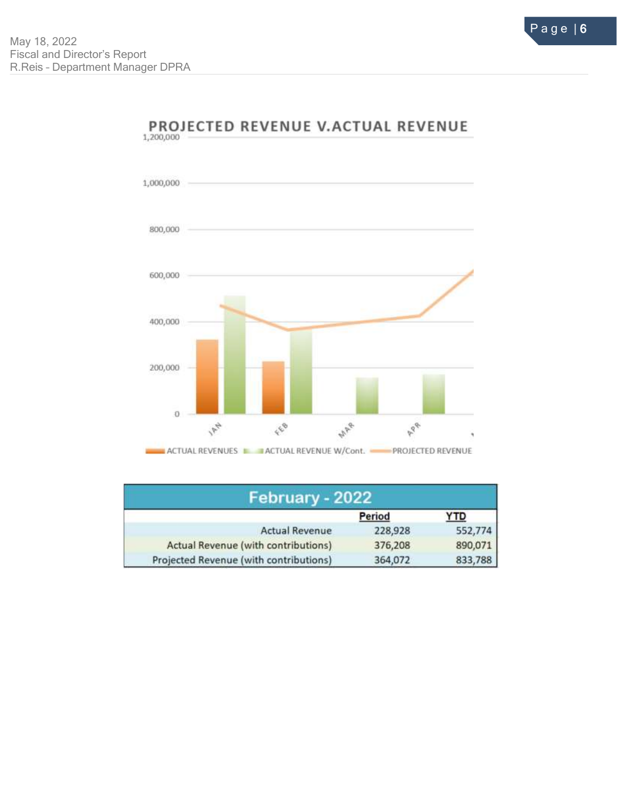

## PROJECTED REVENUE V.ACTUAL REVENUE

| February - 2022                        |         |         |
|----------------------------------------|---------|---------|
|                                        | Period  | YTD     |
| <b>Actual Revenue</b>                  | 228,928 | 552,774 |
| Actual Revenue (with contributions)    | 376,208 | 890,071 |
| Projected Revenue (with contributions) | 364,072 | 833,788 |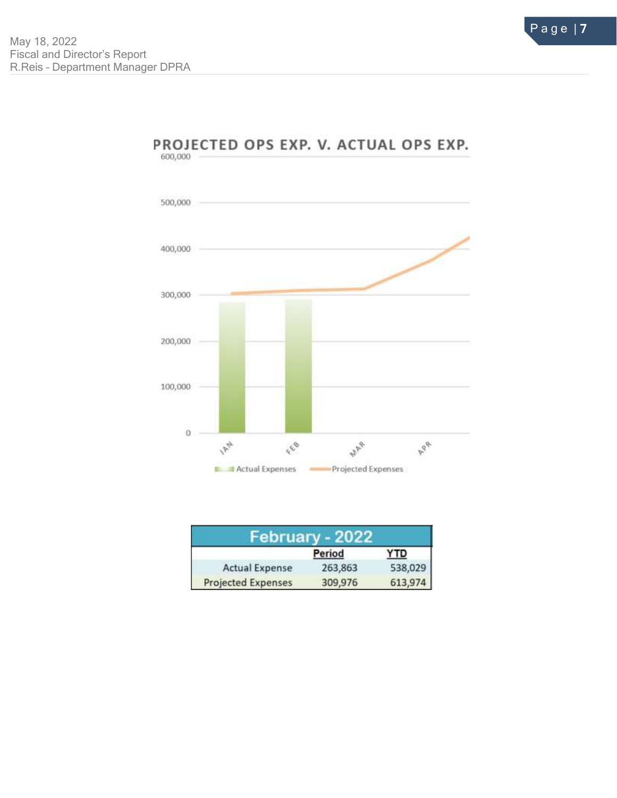

#### PROJECTED OPS EXP. V. ACTUAL OPS EXP. 600,000

| February - 2022           |         |            |  |
|---------------------------|---------|------------|--|
|                           | Period  | <b>YTD</b> |  |
| <b>Actual Expense</b>     | 263,863 | 538,029    |  |
| <b>Projected Expenses</b> | 309,976 | 613,974    |  |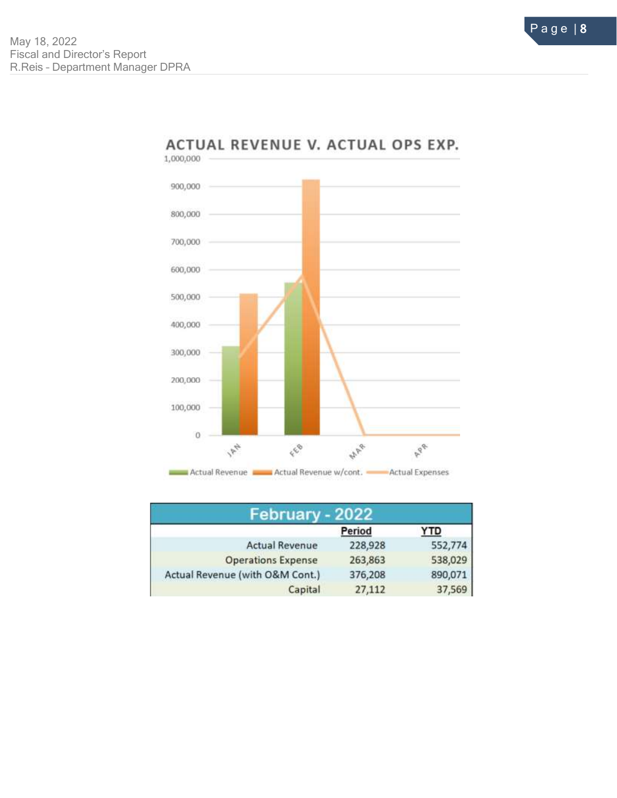

### ACTUAL REVENUE V. ACTUAL OPS EXP.

|                                 | Period  | YTD     |  |
|---------------------------------|---------|---------|--|
| <b>Actual Revenue</b>           | 228,928 | 552,774 |  |
| <b>Operations Expense</b>       | 263,863 | 538,029 |  |
| Actual Revenue (with O&M Cont.) | 376,208 | 890,071 |  |
| Capital                         | 27,112  | 37,569  |  |